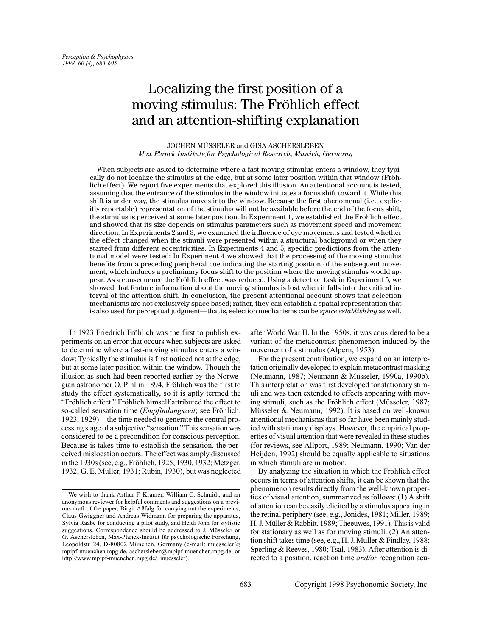*Perception & Psychophysics 1998, 60 (4), 683-695*

# Localizing the first position of a moving stimulus: The Fröhlich effect and an attention-shifting explanation

JOCHEN MÜSSELER and GISA ASCHERSLEBEN *Max Planck Institute for Psychological Research, Munich, Germany*

When subjects are asked to determine where a fast-moving stimulus enters a window, they typically do not localize the stimulus at the edge, but at some later position within that window (Fröhlich effect). We report five experiments that explored this illusion. An attentional account is tested, assuming that the entrance of the stimulus in the window initiates a focus shift toward it. While this shift is under way, the stimulus moves into the window. Because the first phenomenal (i.e., explicitly reportable) representation of the stimulus will not be available before the end of the focus shift, the stimulus is perceived at some later position. In Experiment 1, we established the Fröhlich effect and showed that its size depends on stimulus parameters such as movement speed and movement direction. In Experiments 2 and 3, we examined the influence of eye movements and tested whether the effect changed when the stimuli were presented within a structural background or when they started from different eccentricities. In Experiments 4 and 5, specific predictions from the attentional model were tested: In Experiment 4 we showed that the processing of the moving stimulus benefits from a preceding peripheral cue indicating the starting position of the subsequent movement, which induces a preliminary focus shift to the position where the moving stimulus would appear. As a consequence the Fröhlich effect was reduced. Using a detection task in Experiment 5, we showed that feature information about the moving stimulus is lost when it falls into the critical interval of the attention shift. In conclusion, the present attentional account shows that selection mechanisms are not exclusively space based; rather, they can establish a spatial representation that is also used for perceptual judgment—that is, selection mechanisms can be *space establishing* as well.

In 1923 Friedrich Fröhlich was the first to publish experiments on an error that occurs when subjects are asked to determine where a fast-moving stimulus enters a window: Typically the stimulus is first noticed not at the edge, but at some later position within the window. Though the illusion as such had been reported earlier by the Norwegian astronomer O. Pihl in 1894, Fröhlich was the first to study the effect systematically, so it is aptly termed the "Fröhlich effect." Fröhlich himself attributed the effect to so-called sensation time (*Empfindungszeit*; see Fröhlich, 1923, 1929)—the time needed to generate the central processing stage of a subjective "sensation." This sensation was considered to be a precondition for conscious perception. Because is takes time to establish the sensation, the perceived mislocation occurs. The effect was amply discussed in the 1930s (see, e.g., Fröhlich, 1925, 1930, 1932; Metzger, 1932; G. E. Müller, 1931; Rubin, 1930), but was neglected

after World War II. In the 1950s, it was considered to be a variant of the metacontrast phenomenon induced by the movement of a stimulus (Alpern, 1953).

For the present contribution, we expand on an interpretation originally developed to explain metacontrast masking (Neumann, 1987; Neumann & Müsseler, 1990a, 1990b). This interpretation was first developed for stationary stimuli and was then extended to effects appearing with moving stimuli, such as the Fröhlich effect (Müsseler, 1987; Müsseler & Neumann, 1992). It is based on well-known attentional mechanisms that so far have been mainly studied with stationary displays. However, the empirical properties of visual attention that were revealed in these studies (for reviews, see Allport, 1989; Neumann, 1990; Van der Heijden, 1992) should be equally applicable to situations in which stimuli are in motion.

By analyzing the situation in which the Fröhlich effect occurs in terms of attention shifts, it can be shown that the phenomenon results directly from the well-known properties of visual attention, summarized as follows: (1) A shift of attention can be easily elicited by a stimulus appearing in the retinal periphery (see, e.g., Jonides, 1981; Miller, 1989; H. J. Müller & Rabbitt, 1989; Theeuwes, 1991). This is valid for stationary as well as for moving stimuli. (2) An attention shift takes time (see, e.g., H. J. Müller & Findlay, 1988; Sperling & Reeves, 1980; Tsal, 1983). After attention is directed to a position, reaction time *and/or* recognition acu-

We wish to thank Arthur F. Kramer, William C. Schmidt, and an anonymous reviewer for helpful comments and suggestions on a previous draft of the paper, Birgit Aßfalg for carrying out the experiments, Claus Gwiggner and Andreas Widmann for preparing the apparatus, Sylvia Raabe for conducting a pilot study, and Heidi John for stylistic suggestions. Correspondence should be addressed to J. Müsseler or G. Aschersleben, Max-Planck-Institut für psychologische Forschung, Leopoldstr. 24, D-80802 München, Germany (e-mail: muesseler@ mpipf-muenchen.mpg.de, aschersleben@mpipf-muenchen.mpg.de, or http://www.mpipf-muenchen.mpg.de/~muesseler).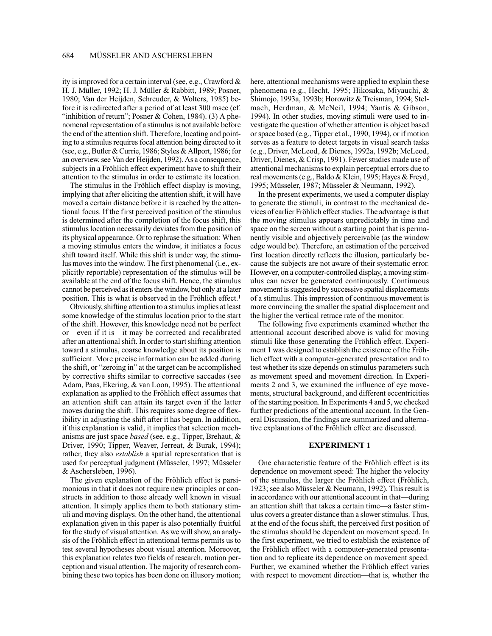ity is improved for a certain interval (see, e.g., Crawford & H. J. Müller, 1992; H. J. Müller & Rabbitt, 1989; Posner, 1980; Van der Heijden, Schreuder, & Wolters, 1985) before it is redirected after a period of at least 300 msec (cf. "inhibition of return"; Posner & Cohen, 1984). (3) A phenomenal representation of a stimulus is not available before the end of the attention shift. Therefore, locating and pointing to a stimulus requires focal attention being directed to it (see, e.g., Butler & Currie, 1986; Styles & Allport, 1986; for an overview, see Van der Heijden, 1992). As a consequence, subjects in a Fröhlich effect experiment have to shift their attention to the stimulus in order to estimate its location.

The stimulus in the Fröhlich effect display is moving, implying that after eliciting the attention shift, it will have moved a certain distance before it is reached by the attentional focus. If the first perceived position of the stimulus is determined after the completion of the focus shift, this stimulus location necessarily deviates from the position of its physical appearance. Or to rephrase the situation: When a moving stimulus enters the window, it initiates a focus shift toward itself. While this shift is under way, the stimulus moves into the window. The first phenomenal (i.e., explicitly reportable) representation of the stimulus will be available at the end of the focus shift. Hence, the stimulus cannot be perceived as it enters the window, but only at a later position. This is what is observed in the Fröhlich effect.<sup>1</sup>

Obviously, shifting attention to a stimulus implies at least some knowledge of the stimulus location prior to the start of the shift. However, this knowledge need not be perfect or—even if it is—it may be corrected and recalibrated after an attentional shift. In order to start shifting attention toward a stimulus, coarse knowledge about its position is sufficient. More precise information can be added during the shift, or "zeroing in" at the target can be accomplished by corrective shifts similar to corrective saccades (see Adam, Paas, Ekering, & van Loon, 1995). The attentional explanation as applied to the Fröhlich effect assumes that an attention shift can attain its target even if the latter moves during the shift. This requires some degree of flexibility in adjusting the shift after it has begun. In addition, if this explanation is valid, it implies that selection mechanisms are just space *based* (see, e.g., Tipper, Brehaut, & Driver, 1990; Tipper, Weaver, Jerreat, & Burak, 1994); rather, they also *establish* a spatial representation that is used for perceptual judgment (Müsseler, 1997; Müsseler & Aschersleben, 1996).

The given explanation of the Fröhlich effect is parsimonious in that it does not require new principles or constructs in addition to those already well known in visual attention. It simply applies them to both stationary stimuli and moving displays. On the other hand, the attentional explanation given in this paper is also potentially fruitful for the study of visual attention. As we will show, an analysis of the Fröhlich effect in attentional terms permits us to test several hypotheses about visual attention. Moreover, this explanation relates two fields of research, motion perception and visual attention. The majority of research combining these two topics has been done on illusory motion; here, attentional mechanisms were applied to explain these phenomena (e.g., Hecht, 1995; Hikosaka, Miyauchi, & Shimojo, 1993a, 1993b; Horowitz & Treisman, 1994; Stelmach, Herdman, & McNeil, 1994; Yantis & Gibson, 1994). In other studies, moving stimuli were used to investigate the question of whether attention is object based or space based (e.g., Tipper et al., 1990, 1994), or if motion serves as a feature to detect targets in visual search tasks (e.g., Driver, McLeod, & Dienes, 1992a, 1992b; McLeod, Driver, Dienes, & Crisp, 1991). Fewer studies made use of attentional mechanisms to explain perceptual errors due to real movements (e.g., Baldo & Klein, 1995; Hayes & Freyd, 1995; Müsseler, 1987; Müsseler & Neumann, 1992).

In the present experiments, we used a computer display to generate the stimuli, in contrast to the mechanical devices of earlier Fröhlich effect studies. The advantage is that the moving stimulus appears unpredictably in time and space on the screen without a starting point that is permanently visible and objectively perceivable (as the window edge would be). Therefore, an estimation of the perceived first location directly reflects the illusion, particularly because the subjects are not aware of their systematic error. However, on a computer-controlled display, a moving stimulus can never be generated continuously. Continuous movement is suggested by successive spatial displacements of a stimulus. This impression of continuous movement is more convincing the smaller the spatial displacement and the higher the vertical retrace rate of the monitor.

The following five experiments examined whether the attentional account described above is valid for moving stimuli like those generating the Fröhlich effect. Experiment 1 was designed to establish the existence of the Fröhlich effect with a computer-generated presentation and to test whether its size depends on stimulus parameters such as movement speed and movement direction. In Experiments 2 and 3, we examined the influence of eye movements, structural background, and different eccentricities of the starting position. In Experiments 4 and 5, we checked further predictions of the attentional account. In the General Discussion, the findings are summarized and alternative explanations of the Fröhlich effect are discussed.

# **EXPERIMENT 1**

One characteristic feature of the Fröhlich effect is its dependence on movement speed: The higher the velocity of the stimulus, the larger the Fröhlich effect (Fröhlich, 1923; see also Müsseler & Neumann, 1992). This result is in accordance with our attentional account in that—during an attention shift that takes a certain time—a faster stimulus covers a greater distance than a slower stimulus. Thus, at the end of the focus shift, the perceived first position of the stimulus should be dependent on movement speed. In the first experiment, we tried to establish the existence of the Fröhlich effect with a computer-generated presentation and to replicate its dependence on movement speed. Further, we examined whether the Fröhlich effect varies with respect to movement direction—that is, whether the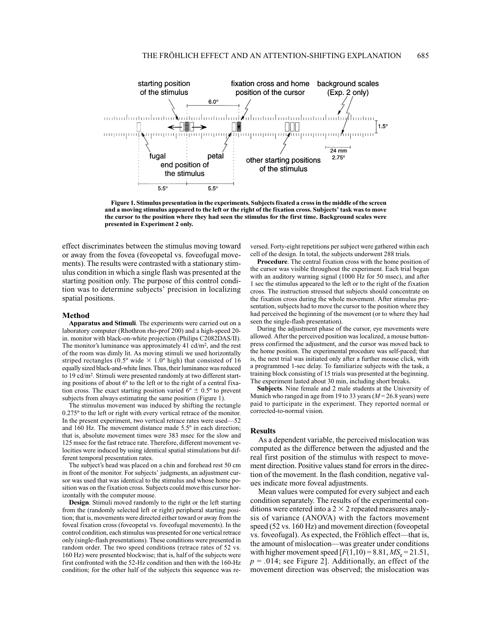

**Figure 1. Stimulus presentation in the experiments. Subjects fixated a cross in the middle of the screen and a moving stimulus appeared to the left or the right of the fixation cross. Subjects' task was to move the cursor to the position where they had seen the stimulus for the first time. Background scales were presented in Experiment 2 only.**

effect discriminates between the stimulus moving toward or away from the fovea (foveopetal vs. foveofugal movements). The results were contrasted with a stationary stimulus condition in which a single flash was presented at the starting position only. The purpose of this control condition was to determine subjects' precision in localizing spatial positions.

#### **Method**

**Apparatus and Stimuli**. The experiments were carried out on a laboratory computer (Rhothron rho-prof 200) and a high-speed 20 in. monitor with black-on-white projection (Philips C2082DAS/II). The monitor's luminance was approximately 41  $\text{cd/m}^2$ , and the rest of the room was dimly lit. As moving stimuli we used horizontally striped rectangles (0.5° wide  $\times$  1.0° high) that consisted of 16 equally sized black-and-white lines. Thus, their luminance was reduced to 19 cd/m2. Stimuli were presented randomly at two different starting positions of about 6º to the left or to the right of a central fixation cross. The exact starting position varied  $6^{\circ} \pm 0.5^{\circ}$  to prevent subjects from always estimating the same position (Figure 1).

The stimulus movement was induced by shifting the rectangle 0.275º to the left or right with every vertical retrace of the monitor. In the present experiment, two vertical retrace rates were used—52 and 160 Hz. The movement distance made 5.5º in each direction; that is, absolute movement times were 383 msec for the slow and 125 msec for the fast retrace rate. Therefore, different movement velocities were induced by using identical spatial stimulations but different temporal presentation rates.

The subject's head was placed on a chin and forehead rest 50 cm in front of the monitor. For subjects' judgments, an adjustment cursor was used that was identical to the stimulus and whose home position was on the fixation cross. Subjects could move this cursor horizontally with the computer mouse.

**Design**. Stimuli moved randomly to the right or the left starting from the (randomly selected left or right) peripheral starting position; that is, movements were directed either toward or away from the foveal fixation cross (foveopetal vs. foveofugal movements). In the control condition, each stimulus was presented for one vertical retrace only (single-flash presentations). These conditions were presented in random order. The two speed conditions (retrace rates of 52 vs. 160 Hz) were presented blockwise; that is, half of the subjects were first confronted with the 52-Hz condition and then with the 160-Hz condition; for the other half of the subjects this sequence was reversed. Forty-eight repetitions per subject were gathered within each cell of the design. In total, the subjects underwent 288 trials.

**Procedure**. The central fixation cross with the home position of the cursor was visible throughout the experiment. Each trial began with an auditory warning signal (1000 Hz for 50 msec), and after 1 sec the stimulus appeared to the left or to the right of the fixation cross. The instruction stressed that subjects should concentrate on the fixation cross during the whole movement. After stimulus presentation, subjects had to move the cursor to the position where they had perceived the beginning of the movement (or to where they had seen the single-flash presentation).

During the adjustment phase of the cursor, eye movements were allowed. After the perceived position was localized, a mouse buttonpress confirmed the adjustment, and the cursor was moved back to the home position. The experimental procedure was self-paced; that is, the next trial was initiated only after a further mouse click, with a programmed 1-sec delay. To familiarize subjects with the task, a training block consisting of 15 trials was presented at the beginning. The experiment lasted about 30 min, including short breaks.

**Subjects**. Nine female and 2 male students at the University of Munich who ranged in age from 19 to 33 years (*M* = 26.8 years) were paid to participate in the experiment. They reported normal or corrected-to-normal vision.

# **Results**

As a dependent variable, the perceived mislocation was computed as the difference between the adjusted and the real first position of the stimulus with respect to movement direction. Positive values stand for errors in the direction of the movement. In the flash condition, negative values indicate more foveal adjustments.

Mean values were computed for every subject and each condition separately. The results of the experimental conditions were entered into a  $2 \times 2$  repeated measures analysis of variance (ANOVA) with the factors movement speed (52 vs. 160 Hz) and movement direction (foveopetal vs. foveofugal). As expected, the Fröhlich effect—that is, the amount of mislocation—was greater under conditions with higher movement speed  $[F(1,10) = 8.81, MS_e = 21.51,$  $p = .014$ ; see Figure 2]. Additionally, an effect of the movement direction was observed; the mislocation was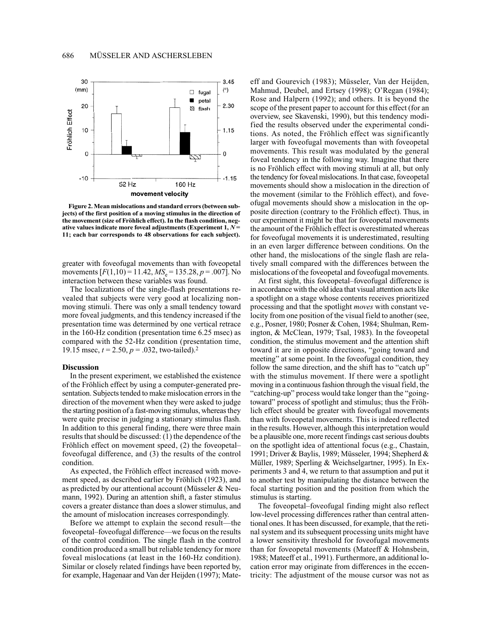

**Figure 2. Mean mislocations and standard errors (between subjects) of the first position of a moving stimulus in the direction of the movement (size of Fröhlich effect). In the flash condition, negative values indicate more foveal adjustments (Experiment 1,** *N* **= 11; each bar corresponds to 48 observations for each subject).**

greater with foveofugal movements than with foveopetal movements  $[F(1,10) = 11.42, MS_e = 135.28, p = .007]$ . No interaction between these variables was found.

The localizations of the single-flash presentations revealed that subjects were very good at localizing nonmoving stimuli. There was only a small tendency toward more foveal judgments, and this tendency increased if the presentation time was determined by one vertical retrace in the 160-Hz condition (presentation time 6.25 msec) as compared with the 52-Hz condition (presentation time, 19.15 msec,  $t = 2.50$ ,  $p = .032$ , two-tailed).<sup>2</sup>

# **Discussion**

In the present experiment, we established the existence of the Fröhlich effect by using a computer-generated presentation. Subjects tended to make mislocation errors in the direction of the movement when they were asked to judge the starting position of a fast-moving stimulus, whereas they were quite precise in judging a stationary stimulus flash. In addition to this general finding, there were three main results that should be discussed: (1) the dependence of the Fröhlich effect on movement speed, (2) the foveopetal– foveofugal difference, and (3) the results of the control condition.

As expected, the Fröhlich effect increased with movement speed, as described earlier by Fröhlich (1923), and as predicted by our attentional account (Müsseler & Neumann, 1992). During an attention shift, a faster stimulus covers a greater distance than does a slower stimulus, and the amount of mislocation increases correspondingly.

Before we attempt to explain the second result—the foveopetal–foveofugal difference—we focus on the results of the control condition. The single flash in the control condition produced a small but reliable tendency for more foveal mislocations (at least in the 160-Hz condition). Similar or closely related findings have been reported by, for example, Hagenaar and Van der Heijden (1997); Mate-

eff and Gourevich (1983); Müsseler, Van der Heijden, Mahmud, Deubel, and Ertsey (1998); O'Regan (1984); Rose and Halpern (1992); and others. It is beyond the scope of the present paper to account for this effect (for an overview, see Skavenski, 1990), but this tendency modified the results observed under the experimental conditions. As noted, the Fröhlich effect was significantly larger with foveofugal movements than with foveopetal movements. This result was modulated by the general foveal tendency in the following way. Imagine that there is no Fröhlich effect with moving stimuli at all, but only the tendency for foveal mislocations. In that case, foveopetal movements should show a mislocation in the direction of the movement (similar to the Fröhlich effect), and foveofugal movements should show a mislocation in the opposite direction (contrary to the Fröhlich effect). Thus, in our experiment it might be that for foveopetal movements the amount of the Fröhlich effect is overestimated whereas for foveofugal movements it is underestimated, resulting in an even larger difference between conditions. On the other hand, the mislocations of the single flash are relatively small compared with the differences between the mislocations of the foveopetal and foveofugal movements.

At first sight, this foveopetal–foveofugal difference is in accordance with the old idea that visual attention acts like a spotlight on a stage whose contents receives prioritized processing and that the spotlight *moves* with constant velocity from one position of the visual field to another (see, e.g., Posner, 1980; Posner & Cohen, 1984; Shulman, Remington, & McClean, 1979; Tsal, 1983). In the foveopetal condition, the stimulus movement and the attention shift toward it are in opposite directions, "going toward and meeting" at some point. In the foveofugal condition, they follow the same direction, and the shift has to "catch up" with the stimulus movement. If there were a spotlight moving in a continuous fashion through the visual field, the "catching-up" process would take longer than the "goingtoward" process of spotlight and stimulus; thus the Fröhlich effect should be greater with foveofugal movements than with foveopetal movements. This is indeed reflected in the results. However, although this interpretation would be a plausible one, more recent findings cast serious doubts on the spotlight idea of attentional focus (e.g., Chastain, 1991; Driver & Baylis, 1989; Müsseler, 1994; Shepherd & Müller, 1989; Sperling & Weichselgartner, 1995). In Experiments 3 and 4, we return to that assumption and put it to another test by manipulating the distance between the focal starting position and the position from which the stimulus is starting.

The foveopetal–foveofugal finding might also reflect low-level processing differences rather than central attentional ones. It has been discussed, for example, that the retinal system and its subsequent processing units might have a lower sensitivity threshold for foveofugal movements than for foveopetal movements (Mateeff & Hohnsbein, 1988; Mateeff et al., 1991). Furthermore, an additional location error may originate from differences in the eccentricity: The adjustment of the mouse cursor was not as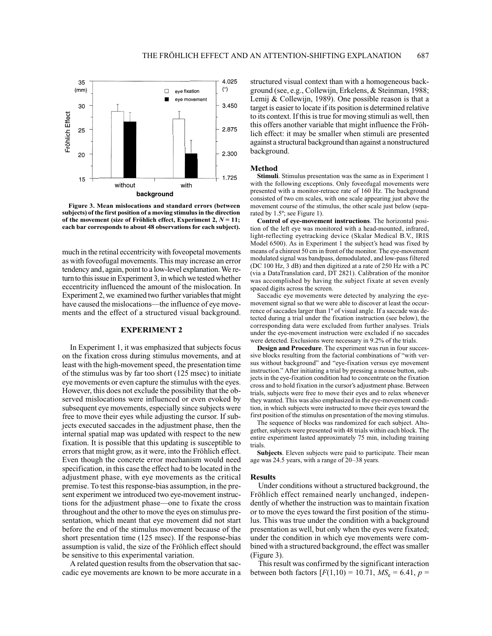

**Figure 3. Mean mislocations and standard errors (between subjects) of the first position of a moving stimulus in the direction of the movement (size of Fröhlich effect, Experiment 2,** *N* **= 11; each bar corresponds to about 48 observations for each subject).**

much in the retinal eccentricity with foveopetal movements as with foveofugal movements. This may increase an error tendency and, again, point to a low-level explanation. We return to this issue in Experiment 3, in which we tested whether eccentricity influenced the amount of the mislocation. In Experiment 2, we examined two further variables that might have caused the mislocations—the influence of eye movements and the effect of a structured visual background.

# **EXPERIMENT 2**

In Experiment 1, it was emphasized that subjects focus on the fixation cross during stimulus movements, and at least with the high-movement speed, the presentation time of the stimulus was by far too short (125 msec) to initiate eye movements or even capture the stimulus with the eyes. However, this does not exclude the possibility that the observed mislocations were influenced or even evoked by subsequent eye movements, especially since subjects were free to move their eyes while adjusting the cursor. If subjects executed saccades in the adjustment phase, then the internal spatial map was updated with respect to the new fixation. It is possible that this updating is susceptible to errors that might grow, as it were, into the Fröhlich effect. Even though the concrete error mechanism would need specification, in this case the effect had to be located in the adjustment phase, with eye movements as the critical premise. To test this response-bias assumption, in the present experiment we introduced two eye-movement instructions for the adjustment phase—one to fixate the cross throughout and the other to move the eyes on stimulus presentation, which meant that eye movement did not start before the end of the stimulus movement because of the short presentation time (125 msec). If the response-bias assumption is valid, the size of the Fröhlich effect should be sensitive to this experimental variation.

A related question results from the observation that saccadic eye movements are known to be more accurate in a structured visual context than with a homogeneous background (see, e.g., Collewijn, Erkelens, & Steinman, 1988; Lemij & Collewijn, 1989). One possible reason is that a target is easier to locate if its position is determined relative to its context. If this is true for moving stimuli as well, then this offers another variable that might influence the Fröhlich effect: it may be smaller when stimuli are presented against a structural background than against a nonstructured background.

## **Method**

**Stimuli**. Stimulus presentation was the same as in Experiment 1 with the following exceptions. Only foveofugal movements were presented with a monitor-retrace rate of 160 Hz. The background consisted of two cm scales, with one scale appearing just above the movement course of the stimulus, the other scale just below (separated by 1.5º; see Figure 1).

**Control of eye-movement instructions**. The horizontal position of the left eye was monitored with a head-mounted, infrared, light-reflecting eyetracking device (Skalar Medical B.V., IRIS Model 6500). As in Experiment 1 the subject's head was fixed by means of a chinrest 50 cm in front of the monitor. The eye-movement modulated signal was bandpass, demodulated, and low-pass filtered (DC 100 Hz, 3 dB) and then digitized at a rate of 250 Hz with a PC (via a DataTranslation card, DT 2821). Calibration of the monitor was accomplished by having the subject fixate at seven evenly spaced digits across the screen.

Saccadic eye movements were detected by analyzing the eyemovement signal so that we were able to discover at least the occurrence of saccades larger than 1º of visual angle. If a saccade was detected during a trial under the fixation instruction (see below), the corresponding data were excluded from further analyses. Trials under the eye-movement instruction were excluded if no saccades were detected. Exclusions were necessary in 9.2% of the trials.

**Design and Procedure**. The experiment was run in four successive blocks resulting from the factorial combinations of "with versus without background" and "eye-fixation versus eye movement instruction." After initiating a trial by pressing a mouse button, subjects in the eye-fixation condition had to concentrate on the fixation cross and to hold fixation in the cursor's adjustment phase. Between trials, subjects were free to move their eyes and to relax whenever they wanted. This was also emphasized in the eye-movement condition, in which subjects were instructed to move their eyes toward the first position of the stimulus on presentation of the moving stimulus.

The sequence of blocks was randomized for each subject. Altogether, subjects were presented with 48 trials within each block. The entire experiment lasted approximately 75 min, including training trials.

**Subjects**. Eleven subjects were paid to participate. Their mean age was 24.5 years, with a range of 20–38 years.

#### **Results**

Under conditions without a structured background, the Fröhlich effect remained nearly unchanged, independently of whether the instruction was to maintain fixation or to move the eyes toward the first position of the stimulus. This was true under the condition with a background presentation as well, but only when the eyes were fixated; under the condition in which eye movements were combined with a structured background, the effect was smaller (Figure 3).

This result was confirmed by the significant interaction between both factors  $[F(1,10) = 10.71, MS_e = 6.41, p =$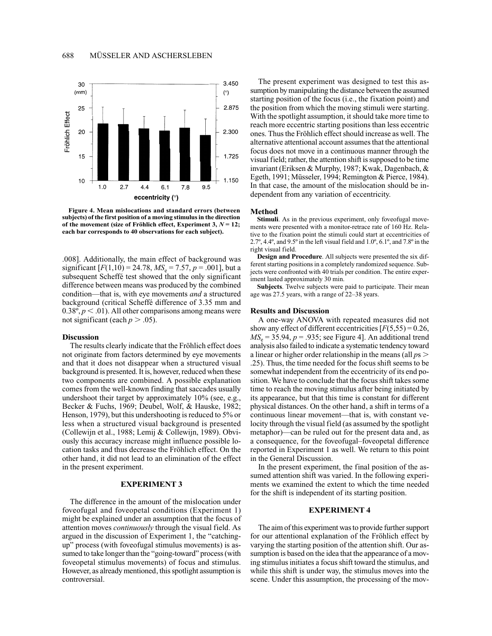

**Figure 4. Mean mislocations and standard errors (between subjects) of the first position of a moving stimulus in the direction** of the movement (size of Fröhlich effect, Experiment  $3, N = 12$ ; **each bar corresponds to 40 observations for each subject).**

.008]. Additionally, the main effect of background was significant  $[F(1,10) = 24.78, MS_e = 7.57, p = .001]$ , but a subsequent Scheffé test showed that the only significant difference between means was produced by the combined condition—that is, with eye movements *and* a structured background (critical Scheffé difference of 3.35 mm and  $0.38^\circ, p < .01$ ). All other comparisons among means were not significant (each  $p > .05$ ).

#### **Discussion**

The results clearly indicate that the Fröhlich effect does not originate from factors determined by eye movements and that it does not disappear when a structured visual background is presented. It is, however, reduced when these two components are combined. A possible explanation comes from the well-known finding that saccades usually undershoot their target by approximately 10% (see, e.g., Becker & Fuchs, 1969; Deubel, Wolf, & Hauske, 1982; Henson, 1979), but this undershooting is reduced to 5% or less when a structured visual background is presented (Collewijn et al., 1988; Lemij & Collewijn, 1989). Obviously this accuracy increase might influence possible location tasks and thus decrease the Fröhlich effect. On the other hand, it did not lead to an elimination of the effect in the present experiment.

# **EXPERIMENT 3**

The difference in the amount of the mislocation under foveofugal and foveopetal conditions (Experiment 1) might be explained under an assumption that the focus of attention moves *continuously* through the visual field. As argued in the discussion of Experiment 1, the "catchingup" process (with foveofugal stimulus movements) is assumed to take longer than the "going-toward" process (with foveopetal stimulus movements) of focus and stimulus. However, as already mentioned, this spotlight assumption is controversial.

The present experiment was designed to test this assumption by manipulating the distance between the assumed starting position of the focus (i.e., the fixation point) and the position from which the moving stimuli were starting. With the spotlight assumption, it should take more time to reach more eccentric starting positions than less eccentric ones. Thus the Fröhlich effect should increase as well. The alternative attentional account assumes that the attentional focus does not move in a continuous manner through the visual field; rather, the attention shift is supposed to be time invariant (Eriksen & Murphy, 1987; Kwak, Dagenbach, & Egeth, 1991; Müsseler, 1994; Remington & Pierce, 1984). In that case, the amount of the mislocation should be independent from any variation of eccentricity.

# **Method**

**Stimuli**. As in the previous experiment, only foveofugal movements were presented with a monitor-retrace rate of 160 Hz. Relative to the fixation point the stimuli could start at eccentricities of 2.7°, 4.4°, and 9.5° in the left visual field and  $1.0^\circ$ , 6.1°, and 7.8° in the right visual field.

**Design and Procedure**. All subjects were presented the six different starting positions in a completely randomized sequence. Subjects were confronted with 40 trials per condition. The entire experiment lasted approximately 30 min.

**Subjects**. Twelve subjects were paid to participate. Their mean age was 27.5 years, with a range of 22–38 years.

## **Results and Discussion**

A one-way ANOVA with repeated measures did not show any effect of different eccentricities  $[F(5,55) = 0.26,$  $MS<sub>e</sub> = 35.94, p = .935$ ; see Figure 4. An additional trend analysis also failed to indicate a systematic tendency toward a linear or higher order relationship in the means (all *p*s .25). Thus, the time needed for the focus shift seems to be somewhat independent from the eccentricity of its end position. We have to conclude that the focus shift takes some time to reach the moving stimulus after being initiated by its appearance, but that this time is constant for different physical distances. On the other hand, a shift in terms of a continuous linear movement—that is, with constant velocity through the visual field (as assumed by the spotlight metaphor)—can be ruled out for the present data and, as a consequence, for the foveofugal–foveopetal difference reported in Experiment 1 as well. We return to this point in the General Discussion.

In the present experiment, the final position of the assumed attention shift was varied. In the following experiments we examined the extent to which the time needed for the shift is independent of its starting position.

## **EXPERIMENT 4**

The aim of this experiment was to provide further support for our attentional explanation of the Fröhlich effect by varying the starting position of the attention shift. Our assumption is based on the idea that the appearance of a moving stimulus initiates a focus shift toward the stimulus, and while this shift is under way, the stimulus moves into the scene. Under this assumption, the processing of the mov-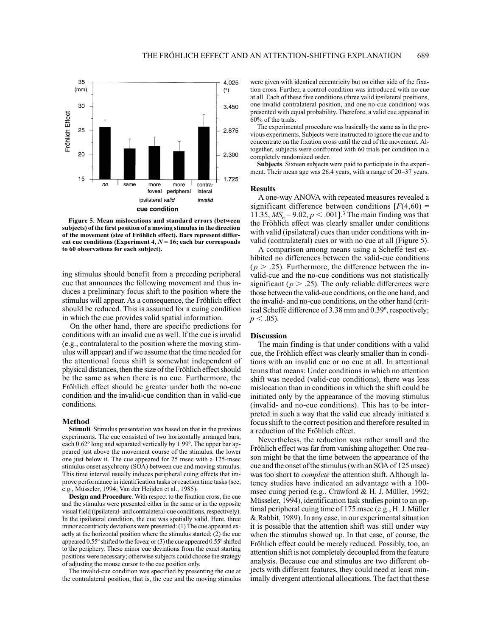

**Figure 5. Mean mislocations and standard errors (between subjects) of the first position of a moving stimulus in the direction of the movement (size of Fröhlich effect). Bars represent differ**ent cue conditions (Experiment 4,  $N = 16$ ; each bar corresponds **to 60 observations for each subject).**

ing stimulus should benefit from a preceding peripheral cue that announces the following movement and thus induces a preliminary focus shift to the position where the stimulus will appear. As a consequence, the Fröhlich effect should be reduced. This is assumed for a cuing condition in which the cue provides valid spatial information.

On the other hand, there are specific predictions for conditions with an invalid cue as well. If the cue is invalid (e.g., contralateral to the position where the moving stimulus will appear) and if we assume that the time needed for the attentional focus shift is somewhat independent of physical distances, then the size of the Fröhlich effect should be the same as when there is no cue. Furthermore, the Fröhlich effect should be greater under both the no-cue condition and the invalid-cue condition than in valid-cue conditions.

# **Method**

**Stimuli**. Stimulus presentation was based on that in the previous experiments. The cue consisted of two horizontally arranged bars, each 0.62º long and separated vertically by 1.99º. The upper bar appeared just above the movement course of the stimulus, the lower one just below it. The cue appeared for 25 msec with a 125-msec stimulus onset asychrony (SOA) between cue and moving stimulus. This time interval usually induces peripheral cuing effects that improve performance in identification tasks or reaction time tasks (see, e.g., Müsseler, 1994; Van der Heijden et al., 1985).

**Design and Procedure**. With respect to the fixation cross, the cue and the stimulus were presented either in the same or in the opposite visual field (ipsilateral- and contralateral-cue conditions, respectively). In the ipsilateral condition, the cue was spatially valid. Here, three minor eccentricity deviations were presented: (1) The cue appeared exactly at the horizontal position where the stimulus started; (2) the cue appeared 0.55º shifted to the fovea; or (3) the cue appeared 0.55º shifted to the periphery. These minor cue deviations from the exact starting positions were necessary; otherwise subjects could choose the strategy of adjusting the mouse cursor to the cue position only.

The invalid-cue condition was specified by presenting the cue at the contralateral position; that is, the cue and the moving stimulus

were given with identical eccentricity but on either side of the fixation cross. Further, a control condition was introduced with no cue at all. Each of these five conditions (three valid ipsilateral positions, one invalid contralateral position, and one no-cue condition) was presented with equal probability. Therefore, a valid cue appeared in 60% of the trials.

The experimental procedure was basically the same as in the previous experiments. Subjects were instructed to ignore the cue and to concentrate on the fixation cross until the end of the movement. Altogether, subjects were confronted with 60 trials per condition in a completely randomized order.

**Subjects**. Sixteen subjects were paid to participate in the experiment. Their mean age was 26.4 years, with a range of 20–37 years.

#### **Results**

A one-way ANOVA with repeated measures revealed a significant difference between conditions  $[F(4,60) =$ 11.35,  $MS_e = 9.02$ ,  $p < .001$ ]<sup>3</sup> The main finding was that the Fröhlich effect was clearly smaller under conditions with valid (ipsilateral) cues than under conditions with invalid (contralateral) cues or with no cue at all (Figure 5).

A comparison among means using a Scheffé test exhibited no differences between the valid-cue conditions  $(p > .25)$ . Furthermore, the difference between the invalid-cue and the no-cue conditions was not statistically significant ( $p > .25$ ). The only reliable differences were those between the valid-cue conditions, on the one hand, and the invalid- and no-cue conditions, on the other hand (critical Scheffé difference of 3.38 mm and 0.39º, respectively;  $p < .05$ ).

## **Discussion**

The main finding is that under conditions with a valid cue, the Fröhlich effect was clearly smaller than in conditions with an invalid cue or no cue at all. In attentional terms that means: Under conditions in which no attention shift was needed (valid-cue conditions), there was less mislocation than in conditions in which the shift could be initiated only by the appearance of the moving stimulus (invalid- and no-cue conditions). This has to be interpreted in such a way that the valid cue already initiated a focus shift to the correct position and therefore resulted in a reduction of the Fröhlich effect.

Nevertheless, the reduction was rather small and the Fröhlich effect was far from vanishing altogether. One reason might be that the time between the appearance of the cue and the onset of the stimulus (with an SOA of 125 msec) was too short to *complete* the attention shift. Although latency studies have indicated an advantage with a 100 msec cuing period (e.g., Crawford & H. J. Müller, 1992; Müsseler, 1994), identification task studies point to an optimal peripheral cuing time of 175 msec (e.g., H. J. Müller & Rabbit, 1989). In any case, in our experimental situation it is possible that the attention shift was still under way when the stimulus showed up. In that case, of course, the Fröhlich effect could be merely reduced. Possibly, too, an attention shift is not completely decoupled from the feature analysis. Because cue and stimulus are two different objects with different features, they could need at least minimally divergent attentional allocations. The fact that these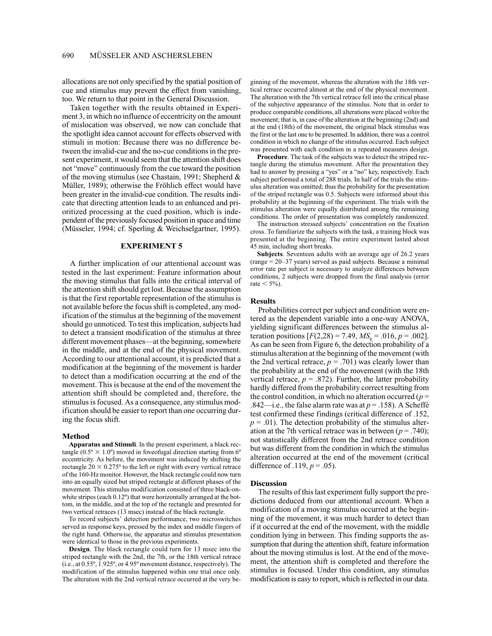allocations are not only specified by the spatial position of cue and stimulus may prevent the effect from vanishing, too. We return to that point in the General Discussion.

Taken together with the results obtained in Experiment 3, in which no influence of eccentricity on the amount of mislocation was observed, we now can conclude that the spotlight idea cannot account for effects observed with stimuli in motion: Because there was no difference between the invalid-cue and the no-cue conditions in the present experiment, it would seem that the attention shift does not "move" continuously from the cue toward the position of the moving stimulus (see Chastain, 1991; Shepherd & Müller, 1989); otherwise the Fröhlich effect would have been greater in the invalid-cue condition. The results indicate that directing attention leads to an enhanced and prioritized processing at the cued position, which is independent of the previously focused position in space and time (Müsseler, 1994; cf. Sperling & Weichselgartner, 1995).

# **EXPERIMENT 5**

A further implication of our attentional account was tested in the last experiment: Feature information about the moving stimulus that falls into the critical interval of the attention shift should get lost. Because the assumption is that the first reportable representation of the stimulus is not available before the focus shift is completed, any modification of the stimulus at the beginning of the movement should go unnoticed. To test this implication, subjects had to detect a transient modification of the stimulus at three different movement phases—at the beginning, somewhere in the middle, and at the end of the physical movement. According to our attentional account, it is predicted that a modification at the beginning of the movement is harder to detect than a modification occurring at the end of the movement. This is because at the end of the movement the attention shift should be completed and, therefore, the stimulus is focused. As a consequence, any stimulus modification should be easier to report than one occurring during the focus shift.

#### **Method**

**Apparatus and Stimuli**. In the present experiment, a black rectangle ( $0.5^{\circ} \times 1.0^{\circ}$ ) moved in foveofugal direction starting from 6 $^{\circ}$ eccentricity. As before, the movement was induced by shifting the rectangle  $20 \times 0.275$ ° to the left or right with every vertical retrace of the 160-Hz monitor. However, the black rectangle could now turn into an equally sized but striped rectangle at different phases of the movement. This stimulus modification consisted of three black-onwhite stripes (each  $0.12^{\circ}$ ) that were horizontally arranged at the bottom, in the middle, and at the top of the rectangle and presented for two vertical retraces (13 msec) instead of the black rectangle.

To record subjects' detection performance, two microswitches served as response keys, pressed by the index and middle fingers of the right hand. Otherwise, the apparatus and stimulus presentation were identical to those in the previous experiments.

**Design**. The black rectangle could turn for 13 msec into the striped rectangle with the 2nd, the 7th, or the 18th vertical retrace (i.e., at 0.55º, 1.925º, or 4.95º movement distance, respectively). The modification of the stimulus happened within one trial once only. The alteration with the 2nd vertical retrace occurred at the very be-

ginning of the movement, whereas the alteration with the 18th vertical retrace occurred almost at the end of the physical movement. The alteration with the 7th vertical retrace fell into the critical phase of the subjective appearance of the stimulus. Note that in order to produce comparable conditions, all alterations were placed *within* the movement; that is, in case of the alteration at the beginning (2nd) and at the end (18th) of the movement, the original black stimulus was the first or the last one to be presented. In addition, there was a control condition in which no change of the stimulus occurred. Each subject was presented with each condition in a repeated measures design.

**Procedure**. The task of the subjects was to detect the striped rectangle during the stimulus movement. After the presentation they had to answer by pressing a "yes" or a "no" key, respectively. Each subject performed a total of 288 trials. In half of the trials the stimulus alteration was omitted; thus the probability for the presentation of the striped rectangle was 0.5. Subjects were informed about this probability at the beginning of the experiment. The trials with the stimulus alteration were equally distributed among the remaining conditions. The order of presentation was completely randomized.

The instruction stressed subjects' concentration on the fixation cross. To familiarize the subjects with the task, a training block was presented at the beginning. The entire experiment lasted about 45 min, including short breaks.

**Subjects**. Seventeen adults with an average age of 26.2 years (range = 20–37 years) served as paid subjects. Because a minimal error rate per subject is necessary to analyze differences between conditions, 2 subjects were dropped from the final analysis (error rate  $<$  5%).

#### **Results**

Probabilities correct per subject and condition were entered as the dependent variable into a one-way ANOVA, yielding significant differences between the stimulus alteration positions  $[F(2,28) = 7.49, MS_e = .016, p = .002]$ . As can be seen from Figure 6, the detection probability of a stimulus alteration at the beginning of the movement (with the 2nd vertical retrace,  $p = .701$ ) was clearly lower than the probability at the end of the movement (with the 18th vertical retrace,  $p = .872$ ). Further, the latter probability hardly differed from the probability correct resulting from the control condition, in which no alteration occurred ( $p =$ .842—i.e., the false alarm rate was at  $p = .158$ ). A Scheffé test confirmed these findings (critical difference of .152,  $p = .01$ ). The detection probability of the stimulus alteration at the 7th vertical retrace was in between  $(p = .740)$ ; not statistically different from the 2nd retrace condition but was different from the condition in which the stimulus alteration occurred at the end of the movement (critical difference of .119,  $p = .05$ ).

#### **Discussion**

The results of this last experiment fully support the predictions deduced from our attentional account. When a modification of a moving stimulus occurred at the beginning of the movement, it was much harder to detect than if it occurred at the end of the movement, with the middle condition lying in between. This finding supports the assumption that during the attention shift, feature information about the moving stimulus is lost. At the end of the movement, the attention shift is completed and therefore the stimulus is focused. Under this condition, any stimulus modification is easy to report, which is reflected in our data.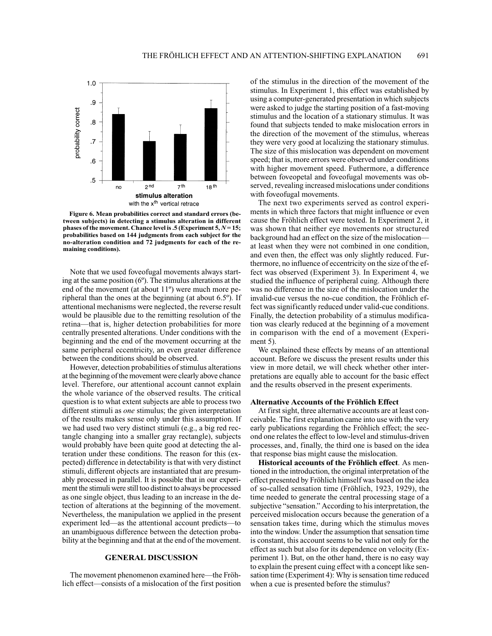

**Figure 6. Mean probabilities correct and standard errors (between subjects) in detecting a stimulus alteration in different phases of the movement. Chance level is .5 (Experiment 5,** *N* **= 15; probabilities based on 144 judgments from each subject for the no-alteration condition and 72 judgments for each of the remaining conditions).**

Note that we used foveofugal movements always starting at the same position  $(6^{\circ})$ . The stimulus alterations at the end of the movement (at about 11º) were much more peripheral than the ones at the beginning (at about 6.5º). If attentional mechanisms were neglected, the reverse result would be plausible due to the remitting resolution of the retina—that is, higher detection probabilities for more centrally presented alterations. Under conditions with the beginning and the end of the movement occurring at the same peripheral eccentricity, an even greater difference between the conditions should be observed.

However, detection probabilities of stimulus alterations at the beginning of the movement were clearly above chance level. Therefore, our attentional account cannot explain the whole variance of the observed results. The critical question is to what extent subjects are able to process two different stimuli as *one* stimulus; the given interpretation of the results makes sense only under this assumption. If we had used two very distinct stimuli (e.g., a big red rectangle changing into a smaller gray rectangle), subjects would probably have been quite good at detecting the alteration under these conditions. The reason for this (expected) difference in detectability is that with very distinct stimuli, different objects are instantiated that are presumably processed in parallel. It is possible that in our experiment the stimuli were still too distinct to always be processed as one single object, thus leading to an increase in the detection of alterations at the beginning of the movement. Nevertheless, the manipulation we applied in the present experiment led—as the attentional account predicts—to an unambiguous difference between the detection probability at the beginning and that at the end of the movement.

# **GENERAL DISCUSSION**

The movement phenomenon examined here—the Fröhlich effect—consists of a mislocation of the first position of the stimulus in the direction of the movement of the stimulus. In Experiment 1, this effect was established by using a computer-generated presentation in which subjects were asked to judge the starting position of a fast-moving stimulus and the location of a stationary stimulus. It was found that subjects tended to make mislocation errors in the direction of the movement of the stimulus, whereas they were very good at localizing the stationary stimulus. The size of this mislocation was dependent on movement speed; that is, more errors were observed under conditions with higher movement speed. Futhermore, a difference between foveopetal and foveofugal movements was observed, revealing increased mislocations under conditions with foveofugal movements.

The next two experiments served as control experiments in which three factors that might influence or even cause the Fröhlich effect were tested. In Experiment 2, it was shown that neither eye movements nor structured background had an effect on the size of the mislocation at least when they were not combined in one condition, and even then, the effect was only slightly reduced. Furthermore, no influence of eccentricity on the size of the effect was observed (Experiment 3). In Experiment 4, we studied the influence of peripheral cuing. Although there was no difference in the size of the mislocation under the invalid-cue versus the no-cue condition, the Fröhlich effect was significantly reduced under valid-cue conditions. Finally, the detection probability of a stimulus modification was clearly reduced at the beginning of a movement in comparison with the end of a movement (Experiment 5).

We explained these effects by means of an attentional account. Before we discuss the present results under this view in more detail, we will check whether other interpretations are equally able to account for the basic effect and the results observed in the present experiments.

## **Alternative Accounts of the Fröhlich Effect**

At first sight, three alternative accounts are at least conceivable. The first explanation came into use with the very early publications regarding the Fröhlich effect; the second one relates the effect to low-level and stimulus-driven processes, and, finally, the third one is based on the idea that response bias might cause the mislocation.

**Historical accounts of the Fröhlich effect**. As mentioned in the introduction, the original interpretation of the effect presented by Fröhlich himself was based on the idea of so-called sensation time (Fröhlich, 1923, 1929), the time needed to generate the central processing stage of a subjective "sensation." According to his interpretation, the perceived mislocation occurs because the generation of a sensation takes time, during which the stimulus moves into the window. Under the assumption that sensation time is constant, this account seems to be valid not only for the effect as such but also for its dependence on velocity (Experiment 1). But, on the other hand, there is no easy way to explain the present cuing effect with a concept like sensation time (Experiment 4): Why is sensation time reduced when a cue is presented before the stimulus?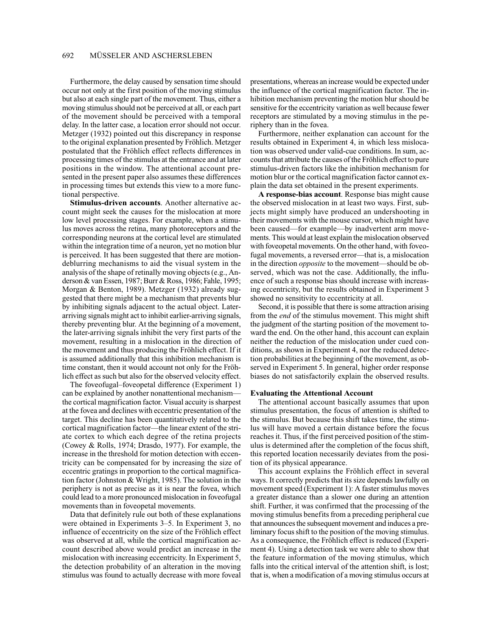# 692 MÜSSELER AND ASCHERSLEBEN

Furthermore, the delay caused by sensation time should occur not only at the first position of the moving stimulus but also at each single part of the movement. Thus, either a moving stimulus should not be perceived at all, or each part of the movement should be perceived with a temporal delay. In the latter case, a location error should not occur. Metzger (1932) pointed out this discrepancy in response to the original explanation presented by Fröhlich. Metzger postulated that the Fröhlich effect reflects differences in processing times of the stimulus at the entrance and at later positions in the window. The attentional account presented in the present paper also assumes these differences in processing times but extends this view to a more functional perspective.

**Stimulus-driven accounts**. Another alternative account might seek the causes for the mislocation at more low level processing stages. For example, when a stimulus moves across the retina, many photoreceptors and the corresponding neurons at the cortical level are stimulated within the integration time of a neuron, yet no motion blur is perceived. It has been suggested that there are motiondeblurring mechanisms to aid the visual system in the analysis of the shape of retinally moving objects (e.g., Anderson & van Essen, 1987; Burr & Ross, 1986; Fahle, 1995; Morgan & Benton, 1989). Metzger (1932) already suggested that there might be a mechanism that prevents blur by inhibiting signals adjacent to the actual object. Laterarriving signals might act to inhibit earlier-arriving signals, thereby preventing blur. At the beginning of a movement, the later-arriving signals inhibit the very first parts of the movement, resulting in a mislocation in the direction of the movement and thus producing the Fröhlich effect. If it is assumed additionally that this inhibition mechanism is time constant, then it would account not only for the Fröhlich effect as such but also for the observed velocity effect.

The foveofugal–foveopetal difference (Experiment 1) can be explained by another nonattentional mechanism the cortical magnification factor. Visual accuity is sharpest at the fovea and declines with eccentric presentation of the target. This decline has been quantitatively related to the cortical magnification factor—the linear extent of the striate cortex to which each degree of the retina projects (Cowey & Rolls, 1974; Drasdo, 1977). For example, the increase in the threshold for motion detection with eccentricity can be compensated for by increasing the size of eccentric gratings in proportion to the cortical magnification factor (Johnston & Wright, 1985). The solution in the periphery is not as precise as it is near the fovea, which could lead to a more pronounced mislocation in foveofugal movements than in foveopetal movements.

Data that definitely rule out both of these explanations were obtained in Experiments 3–5. In Experiment 3, no influence of eccentricity on the size of the Fröhlich effect was observed at all, while the cortical magnification account described above would predict an increase in the mislocation with increasing eccentricity. In Experiment 5, the detection probability of an alteration in the moving stimulus was found to actually decrease with more foveal

presentations, whereas an increase would be expected under the influence of the cortical magnification factor. The inhibition mechanism preventing the motion blur should be sensitive for the eccentricity variation as well because fewer receptors are stimulated by a moving stimulus in the periphery than in the fovea.

Furthermore, neither explanation can account for the results obtained in Experiment 4, in which less mislocation was observed under valid-cue conditions. In sum, accounts that attribute the causes of the Fröhlich effect to pure stimulus-driven factors like the inhibition mechanism for motion blur or the cortical magnification factor cannot explain the data set obtained in the present experiments.

**A response-bias account**. Response bias might cause the observed mislocation in at least two ways. First, subjects might simply have produced an undershooting in their movements with the mouse cursor, which might have been caused—for example—by inadvertent arm movements. This would at least explain the mislocation observed with foveopetal movements. On the other hand, with foveofugal movements, a reversed error—that is, a mislocation in the direction *opposite* to the movement—should be observed, which was not the case. Additionally, the influence of such a response bias should increase with increasing eccentricity, but the results obtained in Experiment 3 showed no sensitivity to eccentricity at all.

Second, it is possible that there is some attraction arising from the *end* of the stimulus movement. This might shift the judgment of the starting position of the movement toward the end. On the other hand, this account can explain neither the reduction of the mislocation under cued conditions, as shown in Experiment 4, nor the reduced detection probabilities at the beginning of the movement, as observed in Experiment 5. In general, higher order response biases do not satisfactorily explain the observed results.

#### **Evaluating the Attentional Account**

The attentional account basically assumes that upon stimulus presentation, the focus of attention is shifted to the stimulus. But because this shift takes time, the stimulus will have moved a certain distance before the focus reaches it. Thus, if the first perceived position of the stimulus is determined after the completion of the focus shift, this reported location necessarily deviates from the position of its physical appearance.

This account explains the Fröhlich effect in several ways. It correctly predicts that its size depends lawfully on movement speed (Experiment 1): A faster stimulus moves a greater distance than a slower one during an attention shift. Further, it was confirmed that the processing of the moving stimulus benefits from a preceding peripheral cue that announces the subsequent movement and induces a preliminary focus shift to the position of the moving stimulus. As a consequence, the Fröhlich effect is reduced (Experiment 4). Using a detection task we were able to show that the feature information of the moving stimulus, which falls into the critical interval of the attention shift, is lost; that is, when a modification of a moving stimulus occurs at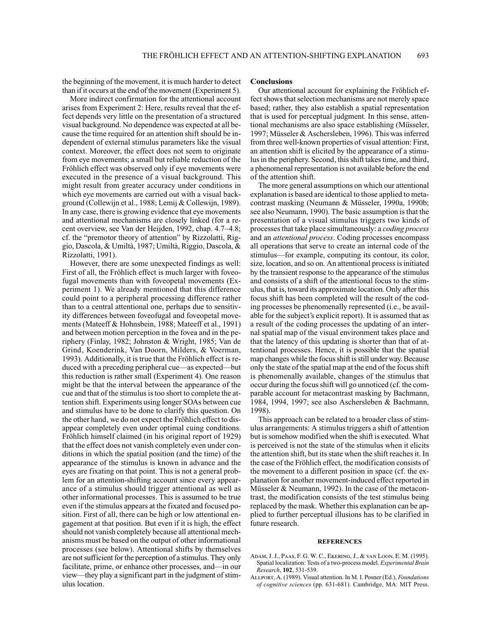the beginning of the movement, it is much harder to detect than if it occurs at the end of the movement (Experiment 5).

More indirect confirmation for the attentional account arises from Experiment 2: Here, results reveal that the effect depends very little on the presentation of a structured visual background. No dependence was expected at all because the time required for an attention shift should be independent of external stimulus parameters like the visual context. Moreover, the effect does not seem to originate from eye movements; a small but reliable reduction of the Fröhlich effect was observed only if eye movements were executed in the presence of a visual background. This might result from greater accuracy under conditions in which eye movements are carried out with a visual background (Collewijn et al., 1988; Lemij & Collewijn, 1989). In any case, there is growing evidence that eye movements and attentional mechanisms are closely linked (for a recent overview, see Van der Heijden, 1992, chap. 4.7–4.8; cf. the "premotor theory of attention" by Rizzolatti, Riggio, Dascola, & Umiltà, 1987; Umiltà, Riggio, Dascola, & Rizzolatti, 1991).

However, there are some unexpected findings as well: First of all, the Fröhlich effect is much larger with foveofugal movements than with foveopetal movements (Experiment 1). We already mentioned that this difference could point to a peripheral processing difference rather than to a central attentional one, perhaps due to sensitivity differences between foveofugal and foveopetal movements (Mateeff & Hohnsbein, 1988; Mateeff et al., 1991) and between motion perception in the fovea and in the periphery (Finlay, 1982; Johnston & Wright, 1985; Van de Grind, Koenderink, Van Doorn, Milders, & Voerman, 1993). Additionally, it is true that the Fröhlich effect is reduced with a preceding peripheral cue—as expected—but this reduction is rather small (Experiment 4). One reason might be that the interval between the appearance of the cue and that of the stimulus is too short to complete the attention shift. Experiments using longer SOAs between cue and stimulus have to be done to clarify this question. On the other hand, we do not expect the Fröhlich effect to disappear completely even under optimal cuing conditions. Fröhlich himself claimed (in his original report of 1929) that the effect does not vanish completely even under conditions in which the spatial position (and the time) of the appearance of the stimulus is known in advance and the eyes are fixating on that point. This is not a general problem for an attention-shifting account since every appearance of a stimulus should trigger attentional as well as other informational processes. This is assumed to be true even if the stimulus appears at the fixated and focused position. First of all, there can be high or low attentional engagement at that position. But even if it is high, the effect should not vanish completely because all attentional mechanisms must be based on the output of other informational processes (see below). Attentional shifts by themselves are not sufficient for the perception of a stimulus. They only facilitate, prime, or enhance other processes, and—in our view—they play a significant part in the judgment of stimulus location.

## **Conclusions**

Our attentional account for explaining the Fröhlich effect shows that selection mechanisms are not merely space based; rather, they also establish a spatial representation that is used for perceptual judgment. In this sense, attentional mechanisms are also space establishing (Müsseler, 1997; Müsseler & Aschersleben, 1996). This was inferred from three well-known properties of visual attention: First, an attention shift is elicited by the appearance of a stimulus in the periphery. Second, this shift takes time, and third, a phenomenal representation is not available before the end of the attention shift.

The more general assumptions on which our attentional explanation is based are identical to those applied to metacontrast masking (Neumann & Müsseler, 1990a, 1990b; see also Neumann, 1990). The basic assumption is that the presentation of a visual stimulus triggers two kinds of processes that take place simultaneously: a *coding process* and an *attentional process*. Coding processes encompass all operations that serve to create an internal code of the stimulus—for example, computing its contour, its color, size, location, and so on. An attentional process is initiated by the transient response to the appearance of the stimulus and consists of a shift of the attentional focus to the stimulus, that is, toward its approximate location. Only after this focus shift has been completed will the result of the coding processes be phenomenally represented (i.e., be available for the subject's explicit report). It is assumed that as a result of the coding processes the updating of an internal spatial map of the visual environment takes place and that the latency of this updating is shorter than that of attentional processes. Hence, it is possible that the spatial map changes while the focus shift is still under way. Because only the state of the spatial map at the end of the focus shift is phenomenally available, changes of the stimulus that occur during the focus shift will go unnoticed (cf. the comparable account for metacontrast masking by Bachmann, 1984, 1994, 1997; see also Aschersleben & Bachmann, 1998).

This approach can be related to a broader class of stimulus arrangements: A stimulus triggers a shift of attention but is somehow modified when the shift is executed. What is perceived is not the state of the stimulus when it elicits the attention shift, but its state when the shift reaches it. In the case of the Fröhlich effect, the modification consists of the movement to a different position in space (cf. the explanation for another movement-induced effect reported in Müsseler & Neumann, 1992). In the case of the metacontrast, the modification consists of the test stimulus being replaced by the mask. Whether this explanation can be applied to further perceptual illusions has to be clarified in future research.

#### **REFERENCES**

- Adam, J. J., Paas, F. G. W. C., Ekering, J., & van Loon, E. M. (1995). Spatial localization: Tests of a two-process model. *Experimental Brain Research*, **102**, 531-539.
- Allport, A. (1989). Visual attention. In M. I. Posner (Ed.), *Foundations of cognitive sciences* (pp. 631-681). Cambridge, MA: MIT Press.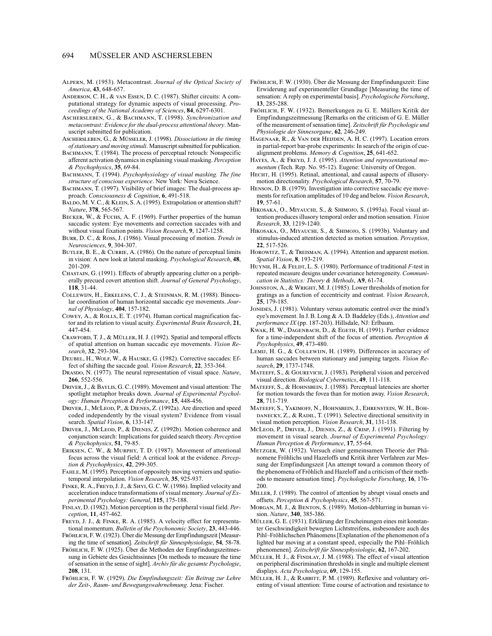# 694 MÜSSELER AND ASCHERSLEBEN

- Alpern, M. (1953). Metacontrast. *Journal of the Optical Society of America*, **43**, 648-657.
- Anderson, C. H., & van Essen, D. C. (1987). Shifter circuits: A computational strategy for dynamic aspects of visual processing. *Proceedings of the National Academy of Sciences*, **84**, 6297-6301.
- Aschersleben, G., & Bachmann, T. (1998). *Synchronization and metacontrast: Evidence for the dual-process attentional theory*. Manuscript submitted for publication.
- Aschersleben, G., & Müsseler, J. (1998). *Dissociations in the timing of stationary and moving stimuli*. Manuscript submitted for publication.
- BACHMANN, T. (1984). The process of perceptual retouch: Nonspecific afferent activation dynamics in explaining visual masking. *Perception & Psychophysics*, **35**, 69-84.
- Bachmann, T. (1994). *Psychophysiology of visual masking. The fine structure of conscious experience*. New York: Nova Science.
- BACHMANN, T. (1997). Visibility of brief images: The dual-process approach. *Consciousness & Cognition*, **6**, 491-518.
- BALDO, M. V. C., & KLEIN, S. A. (1995). Extrapolation or attention shift? *Nature*, **378**, 565-567.
- BECKER, W., & FUCHS, A. F. (1969). Further properties of the human saccadic system: Eye movements and correction saccades with and without visual fixation points. *Vision Research*, **9**, 1247-1258.
- Burr, D. C., & Ross, J. (1986). Visual processing of motion. *Trends in Neurosciences*, **9**, 304-307.
- BUTLER, B. E., & CURRIE, A. (1986). On the nature of perceptual limits in vision: A new look at lateral masking. *Psychological Research*, **48**, 201-209.
- CHASTAIN, G. (1991). Effects of abruptly appearing clutter on a peripherally precued covert attention shift. *Journal of General Psychology*, **118**, 31-44.
- Collewijn, H., Erkelens, C. J., & Steinman, R. M. (1988). Binocular coordination of human horizontal saccadic eye movements. *Journal of Physiology*, **404**, 157-182.
- Cowey, A., & Rolls, E. T. (1974). Human cortical magnification factor and its relation to visual acuity. *Experimental Brain Research*, **21**, 447-454.
- Crawford, T. J., & Müller, H. J. (1992). Spatial and temporal effects of spatial attention on human saccadic eye movements. *Vision Research*, **32**, 293-304.
- Deubel, H., Wolf, W., & Hauske, G. (1982). Corrective saccades: Effect of shifting the saccade goal. *Vision Research*, **22**, 353-364.
- DRASDO, N. (1977). The neural representation of visual space. *Nature*, **266**, 552-556.
- Driver, J., & Baylis, G. C. (1989). Movement and visual attention: The spotlight metaphor breaks down. *Journal of Experimental Psychology: Human Perception & Performance*, **15**, 448-456.
- DRIVER, J., McLeon, P., & DIENES, Z. (1992a). Are direction and speed coded independently by the visual system? Evidence from visual search. *Spatial Vision*, **6**, 133-147.
- Driver, J., McLeod, P., & Dienes, Z. (1992b). Motion coherence and conjunction search: Implications for guided search theory. *Perception & Psychophysics*, **51**, 79-85.
- Eriksen, C. W., & Murphy, T. D. (1987). Movement of attentional focus across the visual field: A critical look at the evidence. *Perception & Psychophysics*, **42**, 299-305.
- Fahle, M. (1995). Perception of oppositely moving verniers and spatiotemporal interpolation. *Vision Research*, **35**, 925-937.
- FINKE, R. A., FREYD, J. J., & SHYI, G. C. W. (1986). Implied velocity and acceleration induce transformations of visual memory. *Journal of Experimental Psychology: General*, **115**, 175-188.
- Finlay, D. (1982). Motion perception in the peripheral visual field. *Perception*, **11**, 457-462.
- FREYD, J. J., & FINKE, R. A. (1985). A velocity effect for representational momentum. *Bulletin of the Psychonomic Society*, **23**, 443-446. Fröhlich, F. W. (1923). Über die Messung der Empfindungszeit [Measur-
- ing the time of sensation]. *Zeitschrift für Sinnesphysiologie*, **54**, 58-78. Fröhlich, F. W. (1925). Über die Methoden der Empfindungszeitmes-
- sung in Gebiete des Gesichtssinnes [On methods to measure the time of sensation in the sense of sight]. *Archiv für die gesamte Psychologie*, **208**, 131.
- Fröhlich, F. W. (1929). *Die Empfindungszeit: Ein Beitrag zur Lehre der Zeit-, Raum- und Bewegungswahrnehmung*. Jena: Fischer.
- Fröhlich, F. W. (1930). Über die Messung der Empfindungszeit: Eine Erwiderung auf experimenteller Grundlage [Measuring the time of sensation: A reply on experimental basis]. *Psychologische Forschung*, **13**, 285-288.
- Fröhlich, F. W. (1932). Bemerkungen zu G. E. Müllers Kritik der Empfindungszeitmessung [Remarks on the criticism of G. E. Müller of the measurement of sensation time]. *Zeitschrift für Psychologie und Physiologie der Sinnesorgane*, **62**, 246-249.
- HAGENAAR, R., & VAN DER HEIJDEN, A. H. C. (1997). Location errors in partial-report bar-probe experiments: In search of the origin of cuealignment problems. *Memory & Cognition*, **25**, 641-652.
- HAYES, A., & FREYD, J. J. (1995). Attention and representational mo*mentum* (Tech. Rep. No. 95-12). Eugene: University of Oregon.
- Hecht, H. (1995). Retinal, attentional, and causal aspects of illusorymotion directionality. *Psychological Research*, **57**, 70-79.
- Henson, D. B. (1979). Investigation into corrective saccadic eye movements for refixation amplitudes of 10 deg and below. *Vision Research*, **19**, 57-61.
- Hikosaka, O., Miyauchi, S., & Shimojo, S. (1993a). Focal visual attention produces illusory temporal order and motion sensation. *Vision Research*, **33**, 1219-1240.
- HIKOSAKA, O., MIYAUCHI, S., & SHIMOJO, S. (1993b). Voluntary and stimulus-induced attention detected as motion sensation. *Perception*, **22**, 517-526.
- HOROWITZ, T., & TREISMAN, A. (1994). Attention and apparent motion. *Spatial Vision*, **8**, 193-219.
- HUYNH, H., & FELDT, L. S. (1980). Performance of traditional *F*-test in repeated measure designs under covariance heterogeneity. *Communication in Statistics: Theory & Methods*, **A9**, 61-74.
- Johnston, A., & Wright, M. J. (1985). Lower thresholds of motion for gratings as a function of eccentricity and contrast. *Vision Research*, **25**, 179-185.
- JONIDES, J. (1981). Voluntary versus automatic control over the mind's eye's movement. In J. B. Long & A. D. Baddeley (Eds.), *Attention and performance IX* (pp. 187-203). Hillsdale, NJ: Erlbaum.
- Kwak, H. W., Dagenbach, D., & Egeth, H. (1991). Further evidence for a time-independent shift of the focus of attention. *Perception & Psychophysics*, **49**, 473-480.
- Lemij, H. G., & Collewijn, H. (1989). Differences in accuracy of human saccades between stationary and jumping targets. *Vision Research*, **29**, 1737-1748.
- Mateeff, S., & Gourevich, J. (1983). Peripheral vision and perceived visual direction. *Biological Cybernetics*, **49**, 111-118.
- Mateeff, S., & Hohnsbein, J. (1988). Perceptual latencies are shorter for motion towards the fovea than for motion away. *Vision Research*, **28**, 711-719.
- Mateeff, S., Yakimoff, N., Hohnsbein, J., Ehrenstein, W. H., Boh-DANECKY, Z., & RADIL, T. (1991). Selective directional sensitivity in visual motion perception. *Vision Research*, **31**, 131-138.
- McLeod, P., Driver, J., Dienes, Z., & Crisp, J. (1991). Filtering by movement in visual search. *Journal of Experimental Psychology: Human Perception & Performance*, **17**, 55-64.
- Metzger, W. (1932). Versuch einer gemeinsamen Theorie der Phänomene Fröhlichs und Hazeloffs und Kritik ihrer Verfahren zur Messung der Empfindungszeit [An attempt toward a common theory of the phenomena of Fröhlich and Hazeloff and a criticism of their methods to measure sensation time]. *Psychologische Forschung*, **16**, 176- 200.
- MILLER, J. (1989). The control of attention by abrupt visual onsets and offsets. *Perception & Psychophysics*, **45**, 567-571.
- Morgan, M. J., & Benton, S. (1989). Motion-deblurring in human vision. *Nature*, **340**, 385-386.
- Müller, G. E. (1931). Erklärung der Erscheinungen eines mit konstanter Geschwindigkeit bewegten Lichtstreifens, insbesondere auch des Pihl–Fröhlichschen Phänomens [Explanation of the phenomenon of a lighted bar moving at a constant speed, especially the Pihl–Fröhlich phenomenen]. *Zeitschrift für Sinnesphysiologie*, **62**, 167-202.
- MÜLLER, H. J., & FINDLAY, J. M. (1988). The effect of visual attention on peripheral discrimination thresholds in single and multiple element displays. *Acta Psychologica*, **69**, 129-155.
- MÜLLER, H. J., & RABBITT, P. M. (1989). Reflexive and voluntary orienting of visual attention: Time course of activation and resistance to